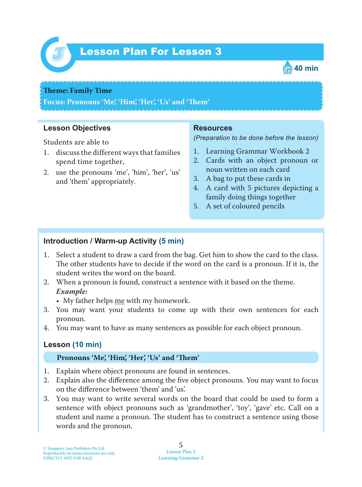

# Lesson Plan For Lesson 3 *3*



#### **Theme: Family Time**

**Focus: Pronouns 'Me', 'Him', 'Her', 'Us' and 'Tem'**

### **Lesson Objectives**

Students are able to

- 1. discuss the different ways that families spend time together,
- 2. use the pronouns 'me', 'him', 'her', 'us' and 'them' appropriately.

#### **Resources**

*(Preparation to be done before the lesson)*

- 1. Learning Grammar Workbook 2
- 2. Cards with an object pronoun or noun written on each card
- 3. A bag to put these cards in
- 4. A card with 5 pictures depicting a family doing things together
- 5. A set of coloured pencils

## **Introduction / Warm-up Activity (5 min)**

- 1. Select a student to draw a card from the bag. Get him to show the card to the class. The other students have to decide if the word on the card is a pronoun. If it is, the student writes the word on the board.
- 2. When a pronoun is found, construct a sentence with it based on the theme. *Example:*
	- My father helps  $me$  with my homework.
- 3. You may want your students to come up with their own sentences for each pronoun.
- 4. You may want to have as many sentences as possible for each object pronoun.

# **Lesson (10 min)**

#### **Pronouns 'Me', 'Him', 'Her', 'Us' and 'Tem'**

- 1. Explain where object pronouns are found in sentences.
- 2. Explain also the difference among the five object pronouns. You may want to focus on the difference between 'them' and 'us'.
- 3. You may want to write several words on the board that could be used to form a sentence with object pronouns such as 'grandmother', 'toy', 'gave' etc. Call on a student and name a pronoun. The student has to construct a sentence using those words and the pronoun.